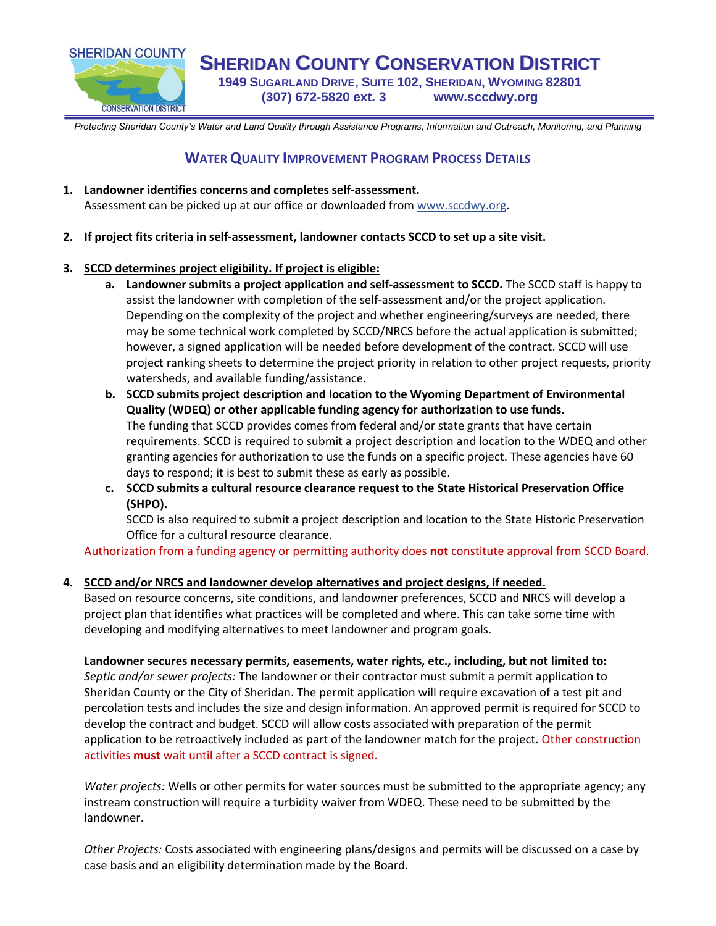

**SHERIDAN COUNTY CONSERVATION DISTRICT 1949 SUGARLAND DRIVE, SUITE 102, SHERIDAN, WYOMING 82801 (307) 672-5820 ext. 3 www.sccdwy.org**

*Protecting Sheridan County's Water and Land Quality through Assistance Programs, Information and Outreach, Monitoring, and Planning*

# **WATER QUALITY IMPROVEMENT PROGRAM PROCESS DETAILS**

- **1. Landowner identifies concerns and completes self-assessment.**  Assessment can be picked up at our office or downloaded from www.sccdwy.org.
- **2. If project fits criteria in self-assessment, landowner contacts SCCD to set up a site visit.**

## **3. SCCD determines project eligibility. If project is eligible:**

- **a. Landowner submits a project application and self-assessment to SCCD.** The SCCD staff is happy to assist the landowner with completion of the self-assessment and/or the project application. Depending on the complexity of the project and whether engineering/surveys are needed, there may be some technical work completed by SCCD/NRCS before the actual application is submitted; however, a signed application will be needed before development of the contract. SCCD will use project ranking sheets to determine the project priority in relation to other project requests, priority watersheds, and available funding/assistance.
- **b. SCCD submits project description and location to the Wyoming Department of Environmental Quality (WDEQ) or other applicable funding agency for authorization to use funds.** The funding that SCCD provides comes from federal and/or state grants that have certain requirements. SCCD is required to submit a project description and location to the WDEQ and other granting agencies for authorization to use the funds on a specific project. These agencies have 60 days to respond; it is best to submit these as early as possible.
- **c. SCCD submits a cultural resource clearance request to the State Historical Preservation Office (SHPO).**

SCCD is also required to submit a project description and location to the State Historic Preservation Office for a cultural resource clearance.

Authorization from a funding agency or permitting authority does **not** constitute approval from SCCD Board.

## **4. SCCD and/or NRCS and landowner develop alternatives and project designs, if needed.**

Based on resource concerns, site conditions, and landowner preferences, SCCD and NRCS will develop a project plan that identifies what practices will be completed and where. This can take some time with developing and modifying alternatives to meet landowner and program goals.

## **Landowner secures necessary permits, easements, water rights, etc., including, but not limited to:**

*Septic and/or sewer projects:* The landowner or their contractor must submit a permit application to Sheridan County or the City of Sheridan. The permit application will require excavation of a test pit and percolation tests and includes the size and design information. An approved permit is required for SCCD to develop the contract and budget. SCCD will allow costs associated with preparation of the permit application to be retroactively included as part of the landowner match for the project. Other construction activities **must** wait until after a SCCD contract is signed.

*Water projects:* Wells or other permits for water sources must be submitted to the appropriate agency; any instream construction will require a turbidity waiver from WDEQ. These need to be submitted by the landowner.

*Other Projects:* Costs associated with engineering plans/designs and permits will be discussed on a case by case basis and an eligibility determination made by the Board.